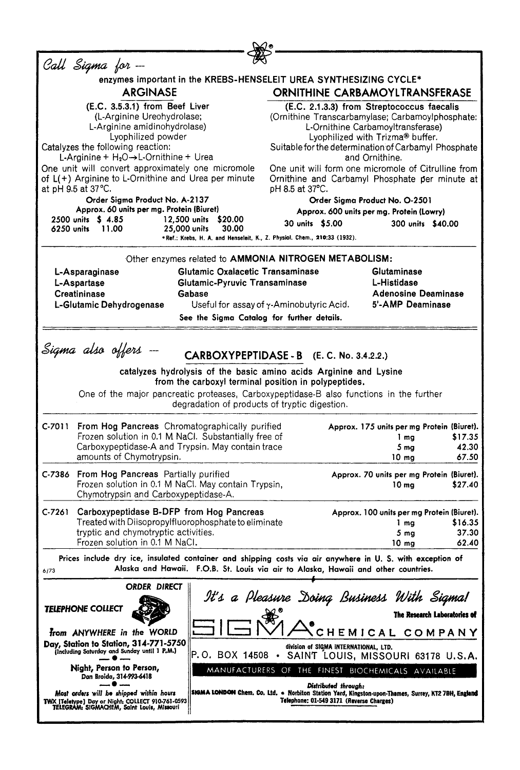